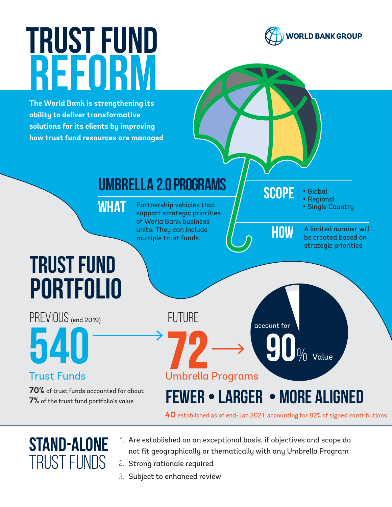# TRUST FUND **REFORM**

**The World Bank is strengthening its ability to deliver transformative solutions for its clients by improving how trust fund resources are managed**





#### STAND-ALONE TRUST FUNDS

- 1. Are established on an exceptional basis, if objectives and scope do not fit geographically or thematically with any Umbrella Program
- 2. Strong rationale required
- 3. Subject to enhanced review